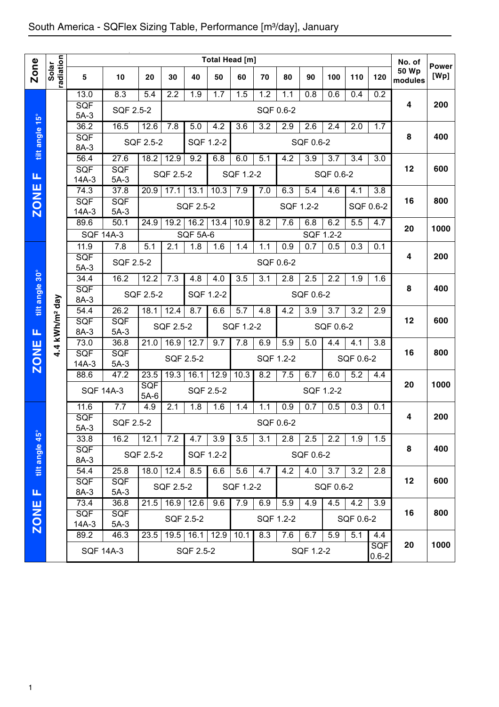|                |                        |                       |                      |               |           |                  |           | Total Head [m] |           |           |                  |           |           |                         | No. of           |                      |
|----------------|------------------------|-----------------------|----------------------|---------------|-----------|------------------|-----------|----------------|-----------|-----------|------------------|-----------|-----------|-------------------------|------------------|----------------------|
| <b>Zone</b>    | radiation<br>Solar     | 5                     | 10                   | 20            | 30        | 40               | 50        | 60             | 70        | 80        | 90               | 100       | 110       | 120                     | 50 Wp<br>modules | <b>Power</b><br>[Wp] |
|                |                        | 13.0                  | 8.3                  | 5.4           | 2.2       | 1.9              | 1.7       | 1.5            | 1.2       | 1.1       | 0.8              | 0.6       | 0.4       | 0.2                     |                  |                      |
|                |                        | SQF<br>$5A-3$         | SQF 2.5-2            |               |           |                  |           |                | SQF 0.6-2 |           |                  |           |           |                         | 4                | 200                  |
|                |                        | 36.2                  | 16.5                 | 12.6          | 7.8       | 5.0              | 4.2       | 3.6            | 3.2       | 2.9       | 2.6              | 2.4       | 2.0       | 1.7                     |                  |                      |
| tilt angle 15° |                        | SQF<br>8A-3           |                      | SQF 2.5-2     |           | SQF 1.2-2        |           |                |           |           | SQF 0.6-2        |           |           |                         | 8                | 400                  |
|                |                        | 56.4                  | 27.6                 | 18.2          | 12.9      | 9.2              | 6.8       | 6.0            | 5.1       | 4.2       | 3.9              | 3.7       | 3.4       | 3.0                     |                  |                      |
| Щ              |                        | SQF<br>14A-3          | <b>SQF</b><br>$5A-3$ |               | SQF 2.5-2 |                  |           | SQF 1.2-2      |           |           |                  | SQF 0.6-2 |           |                         | 12               | 600                  |
|                |                        | 74.3                  | 37.8                 | 20.9          | 17.1      | 13.1             | 10.3      | 7.9            | 7.0       | 6.3       | 5.4              | 4.6       | 4.1       | 3.8                     |                  |                      |
| <b>ZONE</b>    |                        | <b>SQF</b><br>$14A-3$ | <b>SQF</b><br>$5A-3$ |               |           | SQF 2.5-2        |           |                |           | SQF 1.2-2 |                  |           | SQF 0.6-2 |                         | 16               | 800                  |
|                |                        | 89.6                  | 50.1                 | 24.9          | 19.2      | 16.2             | 13.4      | 10.9           | 8.2       | 7.6       | 6.8              | 6.2       | 5.5       | 4.7                     | 20               | 1000                 |
|                |                        | <b>SQF 14A-3</b>      |                      |               |           | <b>SQF 5A-6</b>  |           |                |           |           |                  | SQF 1.2-2 |           |                         |                  |                      |
|                |                        | 11.9                  | 7.8                  | 5.1           | 2.1       | 1.8              | 1.6       | 1.4            | 1.1       | 0.9       | 0.7              | 0.5       | 0.3       | 0.1                     |                  | 200                  |
|                |                        | SQF<br>$5A-3$         | SQF 2.5-2            |               |           |                  |           |                |           | SQF 0.6-2 |                  |           |           |                         | 4                |                      |
|                |                        | 34.4                  | 16.2                 | 12.2          | 7.3       | 4.8              | 4.0       | 3.5            | 3.1       | 2.8       | 2.5              | 2.2       | 1.9       | 1.6                     |                  |                      |
| tilt angle 30° |                        | <b>SQF</b><br>8A-3    |                      | SQF 2.5-2     |           | SQF 1.2-2        |           |                |           |           | SQF 0.6-2        |           |           |                         | 8                | 400                  |
|                |                        | 54.4                  | 26.2                 | 18.1          | 12.4      | 8.7              | 6.6       | 5.7            | 4.8       | 4.2       | $\overline{3.9}$ | 3.7       | 3.2       | 2.9                     |                  |                      |
| Щ              | kWh/m <sup>2</sup> day | <b>SQF</b><br>8A-3    | SQF<br>$5A-3$        |               | SQF 2.5-2 |                  |           | SQF 1.2-2      |           |           |                  | SQF 0.6-2 |           |                         | 12               | 600                  |
|                |                        | 73.0                  | 36.8                 | 21.0          | 16.9      | 12.7             | 9.7       | 7.8            | 6.9       | 5.9       | 5.0              | 4.4       | 4.1       | 3.8                     |                  |                      |
| <b>ZONE</b>    | $4\overline{4}$        | SQF<br>$14A-3$        | SQF<br>$5A-3$        |               | SQF 2.5-2 |                  |           |                | SQF 1.2-2 |           |                  |           | SQF 0.6-2 |                         | 16               | 800                  |
|                |                        | 88.6                  | 47.2                 | 23.5          | 19.3      | 16.1             | 12.9      | 10.3           | 8.2       | 7.5       | 6.7              | 6.0       | 5.2       | 4.4                     |                  |                      |
|                |                        | <b>SQF 14A-3</b>      |                      | SQF<br>$5A-6$ |           | <b>SQF 2.5-2</b> |           |                |           |           | SQF 1.2-2        |           |           |                         | 20               | 1000                 |
|                |                        | 11.6                  | 7.7                  | 4.9           | 2.1       | 1.8              | 1.6       | 1.4            | 1.1       | 0.9       | 0.7              | 0.5       | 0.3       | 0.1                     |                  |                      |
|                |                        | SQF<br>$5A-3$         | SQF 2.5-2            |               |           |                  |           |                | SQF 0.6-2 |           |                  |           |           |                         | 4                | 200                  |
|                |                        | 33.8                  | 16.2                 | 12.1          | 7.2       | 4.7              | 3.9       | 3.5            | 3.1       | 2.8       | 2.5              | 2.2       | 1.9       | 1.5                     |                  |                      |
| tilt angle 45° |                        | SQF<br>8A-3           |                      | SQF 2.5-2     |           |                  | SQF 1.2-2 |                |           |           | SQF 0.6-2        |           |           |                         | 8                | 400                  |
|                |                        | 54.4                  | 25.8                 | 18.0          | 12.4      | 8.5              | 6.6       | 5.6            | 4.7       | 4.2       | 4.0              | 3.7       | 3.2       | 2.8                     |                  |                      |
| Щ              |                        | <b>SQF</b><br>8A-3    | <b>SQF</b><br>$5A-3$ |               | SQF 2.5-2 |                  |           | SQF 1.2-2      |           |           |                  | SQF 0.6-2 |           |                         | 12               | 600                  |
|                |                        | 73.4                  | 36.8                 | 21.5          |           | 16.9 12.6        | 9.6       | 7.9            | 6.9       | 5.9       | 4.9              | 4.5       | 4.2       | 3.9                     |                  |                      |
| <b>ZONE</b>    |                        | <b>SQF</b><br>$14A-3$ | <b>SQF</b><br>$5A-3$ |               |           | SQF 2.5-2        |           |                |           | SQF 1.2-2 |                  |           | SQF 0.6-2 |                         | 16               | 800                  |
|                |                        | 89.2                  | 46.3                 | 23.5          | 19.5      | 16.1             | 12.9      | 10.1           | 8.3       | 7.6       | 6.7              | 5.9       | 5.1       | 4.4                     |                  |                      |
|                |                        |                       | <b>SQF 14A-3</b>     |               |           | SQF 2.5-2        |           |                |           |           | SQF 1.2-2        |           |           | <b>SQF</b><br>$0.6 - 2$ | 20               | 1000                 |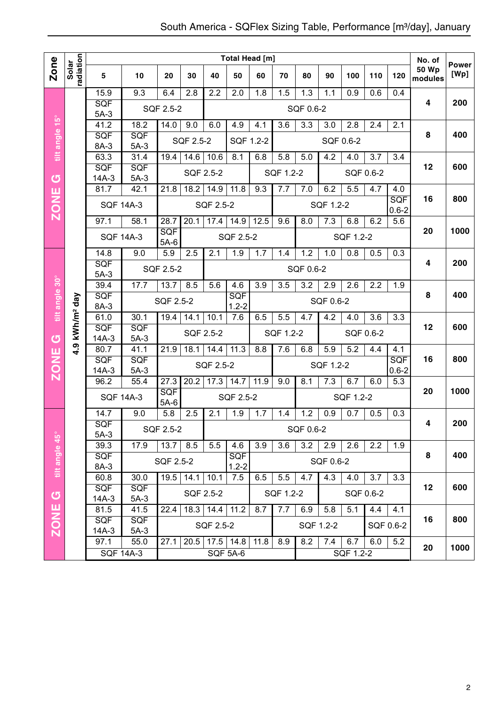|                |                        |                      |                                       |                      |                  |                      | <b>Total Head [m]</b> |                  |           |                  |                  |                  |                  |                  | No. of                  | <b>Power</b> |
|----------------|------------------------|----------------------|---------------------------------------|----------------------|------------------|----------------------|-----------------------|------------------|-----------|------------------|------------------|------------------|------------------|------------------|-------------------------|--------------|
| <b>Zone</b>    | radiation<br>Solar     | 5                    | 10                                    | 20                   | 30               | 40                   | 50                    | 60               | 70        | 80               | 90               | 100              | 110              | 120              | <b>50 Wp</b><br>modules | [Wp]         |
|                |                        | 15.9                 | 9.3                                   | 6.4                  | 2.8              | $\overline{2.2}$     | 2.0                   | 1.8              | 1.5       | $\overline{1.3}$ | 1.1              | $\overline{0.9}$ | 0.6              | 0.4              |                         |              |
|                |                        | <b>SQF</b><br>$5A-3$ |                                       | SQF 2.5-2            |                  |                      |                       |                  |           | SQF 0.6-2        |                  |                  |                  |                  | $\overline{\mathbf{4}}$ | 200          |
|                |                        | 41.2                 | 18.2                                  | 14.0                 | 9.0              | 6.0                  | 4.9                   | $4.\overline{1}$ | 3.6       | 3.3              | 3.0              | 2.8              | 2.4              | 2.1              |                         |              |
| tilt angle 15° |                        | SQF                  | SQF                                   |                      | SQF 2.5-2        |                      | SQF 1.2-2             |                  |           |                  |                  | SQF 0.6-2        |                  |                  | 8                       | 400          |
|                |                        | 8A-3                 | $5A-3$                                |                      |                  |                      |                       |                  |           |                  |                  |                  |                  |                  |                         |              |
|                |                        | 63.3<br>SQF          | 31.4<br>SQF                           | 19.4                 | 14.6             | 10.6                 | 8.1                   | 6.8              | 5.8       | 5.0              | $4.\overline{2}$ | 4.0              | 3.7              | 3.4              | 12                      | 600          |
| ග              |                        | $14A-3$              | $5A-3$                                |                      |                  | SQF 2.5-2            |                       |                  | SQF 1.2-2 |                  |                  |                  | SQF 0.6-2        |                  |                         |              |
|                |                        | 81.7                 | 42.1                                  | 21.8                 | 18.2             | 14.9                 | 11.8                  | 9.3              | 7.7       | 7.0              | 6.2              | 5.5              | 4.7              | 4.0              |                         |              |
| <b>ZONE</b>    |                        | <b>SQF 14A-3</b>     |                                       |                      |                  | SQF 2.5-2            |                       |                  |           |                  | SQF 1.2-2        |                  |                  | SQF<br>$0.6 - 2$ | 16                      | 800          |
|                |                        | 97.1                 | 58.1                                  | 28.7                 | 20.1             | 17.4                 | 14.9                  | 12.5             | 9.6       | 8.0              | 7.3              | 6.8              | 6.2              | 5.6              |                         |              |
|                |                        | <b>SQF 14A-3</b>     |                                       | <b>SQF</b><br>$5A-6$ |                  |                      | SQF 2.5-2             |                  |           |                  |                  | SQF 1.2-2        |                  |                  | 20                      | 1000         |
|                |                        | 14.8                 | 9.0                                   | 5.9                  | 2.5              | 2.1                  | 1.9                   | 1.7              | 1.4       | 1.2              | 1.0              | 0.8              | 0.5              | 0.3              |                         |              |
|                |                        | SQF                  |                                       | SQF 2.5-2            |                  |                      |                       |                  |           | SQF 0.6-2        |                  |                  |                  |                  | $\overline{\mathbf{4}}$ | 200          |
|                |                        |                      | $5A-3$<br>8.5<br>39.4<br>17.7<br>13.7 |                      |                  |                      | 4.6                   | $\overline{3.9}$ | 3.5       | 3.2              | 2.9              | 2.6              | $\overline{2.2}$ | 1.9              |                         |              |
| tilt angle 30° |                        | SQF                  |                                       | SQF 2.5-2            |                  | 5.6                  | SQF                   |                  |           |                  | SQF 0.6-2        |                  |                  |                  | 8                       | 400          |
|                |                        | 8A-3                 |                                       |                      |                  |                      | $1.2 - 2$             |                  |           |                  |                  |                  |                  |                  |                         |              |
|                | kWh/m <sup>2</sup> day | 61.0<br>SQF          | 30.1<br>SQF                           | 19.4                 | 14.1             | 10.1                 | 7.6                   | 6.5              | 5.5       | 4.7              | 4.2              | 4.0              | 3.6              | 3.3              | 12                      | 600          |
| U              |                        | $14A-3$              | $5A-3$                                |                      |                  | SQF 2.5-2            |                       |                  | SQF 1.2-2 |                  |                  |                  | SQF 0.6-2        |                  |                         |              |
| ш              | $-1.9$                 | 80.7                 | 41.1                                  | 21.9                 | 18.1             | 14.4                 | 11.3                  | 8.8              | 7.6       | 6.8              | 5.9              | 5.2              | 4.4              | 4.1              |                         |              |
| ZON            |                        | SQF<br>$14A-3$       | SQF<br>$5A-3$                         |                      |                  | SQF 2.5-2            |                       |                  |           |                  | SQF 1.2-2        |                  |                  | SQF<br>$0.6 - 2$ | 16                      | 800          |
|                |                        | 96.2                 | 55.4                                  | 27.3                 | 20.2             | 17.3                 | 14.7                  | 11.9             | 9.0       | 8.1              | 7.3              | 6.7              | 6.0              | 5.3              |                         |              |
|                |                        | <b>SQF 14A-3</b>     |                                       | <b>SQF</b>           |                  |                      | SQF 2.5-2             |                  |           |                  |                  | SQF 1.2-2        |                  |                  | 20                      | 1000         |
|                |                        | 14.7                 | 9.0                                   | $5A-6$<br>5.8        | 2.5              | 2.1                  | 1.9                   | 1.7              | 1.4       | 1.2              | 0.9              | 0.7              | 0.5              | 0.3              |                         |              |
|                |                        | SQF                  |                                       |                      |                  |                      |                       |                  |           |                  |                  |                  |                  |                  | 4                       | 200          |
|                |                        | $5A-3$               |                                       | SQF 2.5-2            |                  |                      |                       |                  |           | SQF 0.6-2        |                  |                  |                  |                  |                         |              |
|                |                        | 39.3                 | 17.9                                  | 13.7                 | 8.5              | 5.5                  | 4.6                   | 3.9              | 3.6       | $\overline{3.2}$ | 2.9              | 2.6              | 2.2              | 1.9              |                         | 400          |
| tilt angle 45° |                        | SQF<br>8A-3          |                                       | SQF 2.5-2            |                  |                      | SQF<br>$1.2 - 2$      |                  |           |                  | SQF 0.6-2        |                  |                  |                  | 8                       |              |
|                |                        | 60.8                 | 30.0                                  |                      | $19.5$ 14.1 10.1 |                      | 7.5                   | 6.5              | 5.5       | 4.7              | 4.3              | 4.0              | 3.7              | 3.3              |                         |              |
| $\sigma$       |                        | <b>SQF</b>           | <b>SQF</b>                            |                      |                  | SQF 2.5-2            |                       |                  | SQF 1.2-2 |                  |                  |                  | SQF 0.6-2        |                  | 12                      | 600          |
| ш              |                        | $14A-3$<br>81.5      | $5A-3$<br>41.5                        | 22.4                 |                  | $18.3$   14.4   11.2 |                       | 8.7              | 7.7       | 6.9              | 5.8              | 5.1              | 4.4              | 4.1              |                         |              |
| ZONI           |                        | <b>SQF</b>           | <b>SQF</b>                            |                      |                  |                      |                       |                  |           |                  |                  |                  |                  |                  | 16                      | 800          |
|                |                        | $14A-3$              | $5A-3$                                |                      |                  | SQF 2.5-2            |                       |                  |           |                  | SQF 1.2-2        |                  |                  | SQF 0.6-2        |                         |              |
|                |                        | 97.1                 | 55.0                                  | 27.1                 |                  | $20.5$ 17.5 14.8     |                       | 11.8             | 8.9       | 8.2              | $\overline{7.4}$ | 6.7              | 6.0              | $\overline{5.2}$ | 20                      | 1000         |
|                |                        |                      | <b>SQF 14A-3</b>                      |                      |                  |                      | <b>SQF 5A-6</b>       |                  |           |                  |                  | SQF 1.2-2        |                  |                  |                         |              |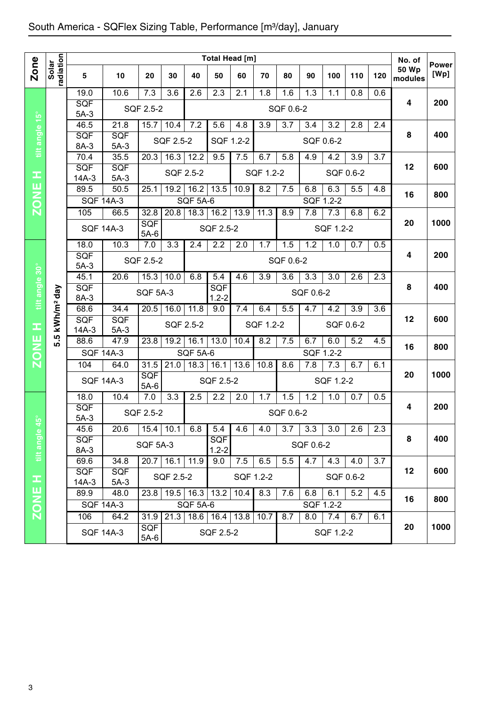|                                 |                        |                       |                      |                      |             |                           |                    | Total Head [m]   |           |           |           |           |     |     | No. of                  | <b>Power</b> |
|---------------------------------|------------------------|-----------------------|----------------------|----------------------|-------------|---------------------------|--------------------|------------------|-----------|-----------|-----------|-----------|-----|-----|-------------------------|--------------|
| <b>Zone</b>                     | radiation<br>Solar     | 5                     | 10                   | 20                   | 30          | 40                        | 50                 | 60               | 70        | 80        | 90        | 100       | 110 | 120 | <b>50 Wp</b><br>modules | [Wp]         |
|                                 |                        | 19.0                  | 10.6                 | 7.3                  | 3.6         | 2.6                       | 2.3                | 2.1              | 1.8       | 1.6       | 1.3       | 1.1       | 0.8 | 0.6 |                         |              |
|                                 |                        | <b>SQF</b><br>$5A-3$  |                      | <b>SQF 2.5-2</b>     |             |                           |                    |                  |           | SQF 0.6-2 |           |           |     |     | 4                       | 200          |
|                                 |                        | 46.5                  | 21.8                 | 15.7                 | 10.4        | 7.2                       | 5.6                | $4.\overline{8}$ | 3.9       | 3.7       | 3.4       | 3.2       | 2.8 | 2.4 |                         |              |
| tilt angle 15°                  |                        | <b>SQF</b><br>8A-3    | <b>SQF</b><br>$5A-3$ |                      | SQF 2.5-2   |                           | SQF 1.2-2          |                  |           |           | SQF 0.6-2 |           |     |     | 8                       | 400          |
|                                 |                        | 70.4                  | 35.5                 | 20.3                 | 16.3        | 12.2                      | 9.5                | 7.5              | 6.7       | 5.8       | 4.9       | 4.2       | 3.9 | 3.7 |                         |              |
| œ                               |                        | <b>SQF</b><br>$14A-3$ | <b>SQF</b><br>$5A-3$ |                      | SQF 2.5-2   |                           |                    |                  | SQF 1.2-2 |           |           | SQF 0.6-2 |     |     | 12                      | 600          |
| <b>ZONE</b>                     |                        | 89.5                  | 50.5                 | 25.1                 | 19.2        | 16.2                      | 13.5               | 10.9             | 8.2       | 7.5       | 6.8       | 6.3       | 5.5 | 4.8 | 16                      | 800          |
|                                 |                        | <b>SQF 14A-3</b>      |                      |                      |             | SQF 5A-6                  |                    |                  |           |           | SQF 1.2-2 |           |     |     |                         |              |
|                                 |                        | 105                   | 66.5                 | 32.8                 | 20.8        | 18.3                      | 16.2               | 13.9             | 11.3      | 8.9       | 7.8       | 7.3       | 6.8 | 6.2 |                         |              |
|                                 |                        | <b>SQF 14A-3</b>      |                      | SQF<br>$5A-6$        |             |                           | SQF 2.5-2          |                  |           |           |           | SQF 1.2-2 |     |     | 20                      | 1000         |
|                                 |                        | 18.0                  | 10.3                 | 7.0                  | 3.3         | 2.4                       | 2.2                | 2.0              | 1.7       | 1.5       | 1.2       | 1.0       | 0.7 | 0.5 |                         |              |
|                                 |                        | <b>SQF</b><br>$5A-3$  |                      | <b>SQF 2.5-2</b>     |             |                           |                    |                  |           | SQF 0.6-2 |           |           |     |     | 4                       | 200          |
|                                 |                        | 45.1                  | 20.6                 | $15.3$ 10.0          |             | 6.8                       | 5.4                | 4.6              | 3.9       | 3.6       | 3.3       | 3.0       | 2.6 | 2.3 |                         |              |
| tilt angle 30°                  | kWh/m <sup>2</sup> day | SQF<br>8A-3           |                      | <b>SQF 5A-3</b>      |             |                           | SQF<br>$1.2 - 2$   |                  |           |           | SQF 0.6-2 |           |     |     | 8                       | 400          |
|                                 |                        | 68.6                  | 34.4                 | 20.5                 | 16.0        | $11.\overline{8}$         | 9.0                | 7.4              | 6.4       | 5.5       | 4.7       | 4.2       | 3.9 | 3.6 |                         |              |
| Ŧ                               |                        | <b>SQF</b><br>$14A-3$ | <b>SQF</b><br>$5A-3$ |                      | SQF 2.5-2   |                           |                    |                  | SQF 1.2-2 |           |           | SQF 0.6-2 |     |     | 12                      | 600          |
| <b>ZONE</b>                     | 5.5                    | 88.6                  | 47.9                 | 23.8                 | 19.2        | 16.1                      | 13.0               | 10.4             | 8.2       | 7.5       | 6.7       | 6.0       | 5.2 | 4.5 | 16                      | 800          |
|                                 |                        | <b>SQF 14A-3</b>      |                      |                      |             | <b>SQF 5A-6</b>           |                    |                  |           |           | SQF 1.2-2 |           |     |     |                         |              |
|                                 |                        | 104                   | 64.0                 | 31.5                 | 21.0        | 18.3                      | 16.1               | 13.6             | 10.8      | 8.6       | 7.8       | 7.3       | 6.7 | 6.1 |                         |              |
|                                 |                        | <b>SQF 14A-3</b>      |                      | SQF<br>$5A-6$        |             |                           | <b>SQF 2.5-2</b>   |                  |           |           |           | SQF 1.2-2 |     |     | 20                      | 1000         |
|                                 |                        | 18.0                  | 10.4                 | 7.0                  | 3.3         | 2.5                       | 2.2                | 2.0              | 1.7       | 1.5       | 1.2       | 1.0       | 0.7 | 0.5 |                         |              |
| $\overset{\circ}{\mathfrak{g}}$ |                        | <b>SQF</b><br>$5A-3$  |                      | SQF 2.5-2            |             |                           |                    |                  |           | SQF 0.6-2 |           |           |     |     | 4                       | 200          |
|                                 |                        | 45.6                  | 20.6                 |                      | $15.4$ 10.1 | 6.8                       | 5.4                | 4.6              | 4.0       | 3.7       | 3.3       | 3.0       | 2.6 | 2.3 |                         |              |
| tilt angle                      |                        | <b>SQF</b><br>8A-3    |                      | <b>SQF 5A-3</b>      |             |                           | SQF<br>$1.2 - 2$   |                  |           |           | SQF 0.6-2 |           |     |     | 8                       | 400          |
|                                 |                        | 69.6                  | 34.8                 |                      | 20.7 16.1   | 11.9                      | 9.0                | 7.5              | 6.5       | 5.5       | 4.7       | 4.3       | 4.0 | 3.7 |                         |              |
| Ŧ                               |                        | SQF<br>$14A-3$        | <b>SQF</b><br>$5A-3$ |                      | SQF 2.5-2   |                           |                    | SQF 1.2-2        |           |           |           | SQF 0.6-2 |     |     | 12                      | 600          |
|                                 |                        | 89.9                  | 48.0                 |                      |             | 23.8   19.5   16.3   13.2 |                    | 10.4             | 8.3       | 7.6       | 6.8       | 6.1       | 5.2 | 4.5 |                         |              |
| <b>ZONE</b>                     |                        |                       | <b>SQF 14A-3</b>     |                      |             | <b>SQF 5A-6</b>           |                    |                  |           |           |           | SQF 1.2-2 |     |     | 16                      | 800          |
|                                 |                        | 106                   | 64.2                 | 31.9                 | 21.3        |                           | 18.6   16.4   13.8 |                  | 10.7      | 8.7       | 8.0       | 7.4       | 6.7 | 6.1 |                         |              |
|                                 |                        |                       | <b>SQF 14A-3</b>     | <b>SQF</b><br>$5A-6$ |             |                           | SQF 2.5-2          |                  |           |           |           | SQF 1.2-2 |     |     | 20                      | 1000         |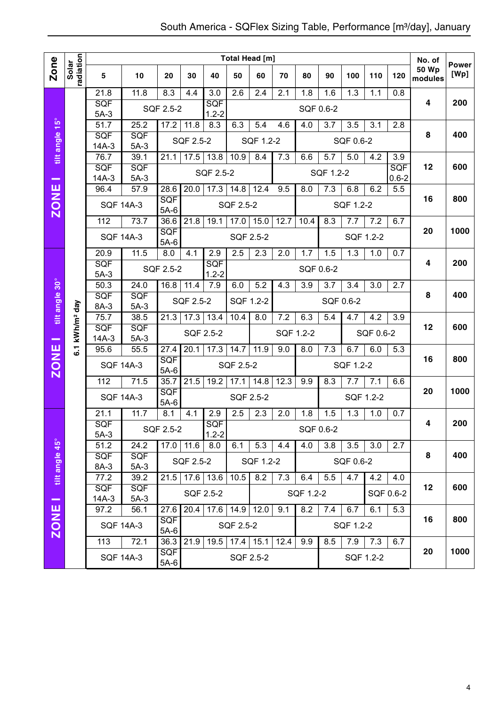|                |                        |                                          |                      |                      |             |                    |                  | <b>Total Head [m]</b> |           |           |                  |                  |           |                  | No. of                  |                      |
|----------------|------------------------|------------------------------------------|----------------------|----------------------|-------------|--------------------|------------------|-----------------------|-----------|-----------|------------------|------------------|-----------|------------------|-------------------------|----------------------|
| <b>Zone</b>    | radiation<br>Solar     | $\overline{\mathbf{5}}$                  | 10                   | 20                   | 30          | 40                 | 50               | 60                    | 70        | 80        | 90               | 100              | 110       | 120              | <b>50 Wp</b><br>modules | <b>Power</b><br>[Wp] |
|                |                        | 21.8                                     | 11.8                 | 8.3                  | 4.4         | 3.0                | $\overline{2.6}$ | 2.4                   | 2.1       | 1.8       | 1.6              | $\overline{1.3}$ | 1.1       | 0.8              |                         |                      |
|                |                        | <b>SQF</b>                               |                      |                      |             | SQF                |                  |                       |           |           |                  |                  |           |                  | 4                       | 200                  |
|                |                        | $5A-3$                                   |                      | SQF 2.5-2            |             | $1.2 - 2$          |                  |                       |           |           | SQF 0.6-2        |                  |           |                  |                         |                      |
|                |                        | 51.7                                     | 25.2                 | 17.2                 | 11.8        | 8.3                | 6.3              | 5.4                   | 4.6       | 4.0       | 3.7              | 3.5              | 3.1       | 2.8              |                         |                      |
| tilt angle 15° |                        | SQF                                      | <b>SQF</b>           |                      | SQF 2.5-2   |                    |                  | SQF 1.2-2             |           |           |                  | SQF 0.6-2        |           |                  | 8                       | 400                  |
|                |                        | $14A-3$                                  | $5A-3$               |                      |             |                    |                  |                       |           |           |                  |                  |           |                  |                         |                      |
|                |                        | 76.7                                     | 39.1                 | 21.1                 | 17.5        | 13.8               | 10.9             | 8.4                   | 7.3       | 6.6       | 5.7              | 5.0              | 4.2       | 3.9              |                         |                      |
|                |                        | SQF<br>$14A-3$                           | SQF<br>$5A-3$        |                      |             | SQF 2.5-2          |                  |                       |           |           | SQF 1.2-2        |                  |           | SQF<br>$0.6 - 2$ | 12                      | 600                  |
| -              |                        | 96.4                                     | 57.9                 | 28.6                 | 20.0        | 17.3               | 14.8             | 12.4                  | 9.5       | 8.0       | $\overline{7.3}$ | 6.8              | 6.2       | 5.5              |                         |                      |
|                |                        |                                          |                      | <b>SQF</b>           |             |                    |                  |                       |           |           |                  |                  |           |                  | 16                      | 800                  |
| <b>ZONE</b>    |                        | <b>SQF 14A-3</b>                         |                      | $5A-6$               |             |                    | SQF 2.5-2        |                       |           |           |                  | SQF 1.2-2        |           |                  |                         |                      |
|                |                        | 112                                      | 73.7                 | 36.6                 | 21.8        | 19.1               | 17.0             | 15.0                  | 12.7      | 10.4      | 8.3              | 7.7              | 7.2       | 6.7              |                         |                      |
|                |                        |                                          | <b>SQF 14A-3</b>     | <b>SQF</b><br>$5A-6$ |             |                    |                  | SQF 2.5-2             |           |           |                  |                  | SQF 1.2-2 |                  | 20                      | 1000                 |
|                |                        | 20.9                                     | 11.5                 | 8.0                  | 4.1         | 2.9                | $\overline{2.5}$ | 2.3                   | 2.0       | 1.7       | 1.5              | 1.3              | 1.0       | 0.7              |                         |                      |
|                |                        | SQF                                      |                      | SQF 2.5-2            |             | SQF                |                  |                       |           |           | SQF 0.6-2        |                  |           |                  | 4                       | 200                  |
|                |                        | $5A-3$                                   |                      |                      |             | $1.2 - 2$          |                  |                       |           |           |                  |                  |           |                  |                         |                      |
|                |                        | 50.3                                     | 24.0                 | 16.8                 | 11.4        | 7.9                | 6.0              | 5.2                   | 4.3       | 3.9       | 3.7              | 3.4              | 3.0       | $\overline{2.7}$ |                         |                      |
| tilt angle 30° |                        | SQF<br>8A-3                              | <b>SQF</b><br>$5A-3$ |                      | SQF 2.5-2   |                    |                  | SQF 1.2-2             |           |           |                  | SQF 0.6-2        |           |                  | 8                       | 400                  |
|                |                        | 75.7                                     | 38.5                 | 21.3                 | 17.3        | 13.4               | 10.4             | 8.0                   | 7.2       | 6.3       | 5.4              | 4.7              | 4.2       | 3.9              |                         |                      |
|                | kWh/m <sup>2</sup> day | SQF                                      | SQF                  |                      |             |                    |                  |                       |           |           |                  |                  |           |                  | 12                      | 600                  |
| -              |                        | $14A-3$                                  | $5A-3$               |                      |             | SQF 2.5-2          |                  |                       |           | SQF 1.2-2 |                  |                  | SQF 0.6-2 |                  |                         |                      |
| <b>ZONE</b>    | -<br>ბ                 | 95.6                                     | 55.5                 | 27.4                 | 20.1        | 17.3               | 14.7             | 11.9                  | 9.0       | 8.0       | 7.3              | 6.7              | 6.0       | $\overline{5.3}$ |                         |                      |
|                |                        |                                          | <b>SQF 14A-3</b>     | SQF                  |             |                    | SQF 2.5-2        |                       |           |           |                  | SQF 1.2-2        |           |                  | 16                      | 800                  |
|                |                        | 112                                      | 71.5                 | $5A-6$<br>35.7       | 21.5        | 19.2               | 17.1             | 14.8                  | 12.3      | 9.9       | 8.3              | 7.7              | 7.1       | 6.6              |                         |                      |
|                |                        |                                          |                      | SQF                  |             |                    |                  |                       |           |           |                  |                  |           |                  | 20                      | 1000                 |
|                |                        |                                          | <b>SQF 14A-3</b>     | $5A-6$               |             |                    |                  | SQF 2.5-2             |           |           |                  |                  | SQF 1.2-2 |                  |                         |                      |
|                |                        | 21.1                                     | 11.7                 | 8.1                  | 4.1         | 2.9                | 2.5              | 2.3                   | 2.0       | 1.8       | 1.5              | 1.3              | 1.0       | 0.7              |                         |                      |
|                |                        | SQF                                      |                      | SQF 2.5-2            |             | <b>SQF</b>         |                  |                       |           |           | SQF 0.6-2        |                  |           |                  | 4                       | 200                  |
|                |                        | $5A-3$                                   |                      |                      |             | $1.2 - 2$          |                  |                       |           |           |                  |                  |           |                  |                         |                      |
|                |                        | 51.2                                     | 24.2                 |                      | $17.0$ 11.6 | 8.0                | 6.1              | 5.3                   | 4.4       | 4.0       | 3.8              | 3.5              | 3.0       | 2.7              | 8                       | 400                  |
|                |                        | <b>SQF</b><br>SQF<br>8A-3<br>$5A-3$      |                      |                      | SQF 2.5-2   |                    |                  | SQF 1.2-2             |           |           |                  | SQF 0.6-2        |           |                  |                         |                      |
| tilt angle 45° |                        | 77.2<br>39.2<br><b>SQF</b><br><b>SQF</b> |                      | 21.5 17.6 13.6       |             | $\overline{10.5}$  | $\overline{8.2}$ | 7.3                   | 6.4       | 5.5       | 4.7              | 4.2              | 4.0       |                  |                         |                      |
|                |                        |                                          |                      |                      | SQF 2.5-2   |                    |                  |                       | SQF 1.2-2 |           |                  |                  | SQF 0.6-2 | 12               | 600                     |                      |
| -              |                        | 14A-3                                    | $5A-3$               |                      |             |                    |                  |                       |           |           |                  |                  |           |                  |                         |                      |
|                |                        | 97.2<br>56.1                             |                      | 27.6                 |             | 20.4   17.6   14.9 |                  | 12.0                  | 9.1       | 8.2       | 7.4              | 6.7              | 6.1       | 5.3              |                         |                      |
| <b>ZONE</b>    |                        |                                          | <b>SQF 14A-3</b>     | <b>SQF</b><br>$5A-6$ |             |                    | SQF 2.5-2        |                       |           |           |                  | SQF 1.2-2        |           |                  | 16                      | 800                  |
|                |                        | 113                                      | 72.1                 | 36.3 21.9            |             | 19.5               |                  | $17.4$ 15.1           | 12.4      | 9.9       | 8.5              | 7.9              | 7.3       | 6.7              |                         |                      |
|                |                        |                                          |                      | SQF                  |             |                    |                  |                       |           |           |                  |                  |           |                  | 20                      | 1000                 |
|                |                        |                                          | <b>SQF 14A-3</b>     | $5A-6$               |             |                    |                  | SQF 2.5-2             |           |           |                  |                  | SQF 1.2-2 |                  |                         |                      |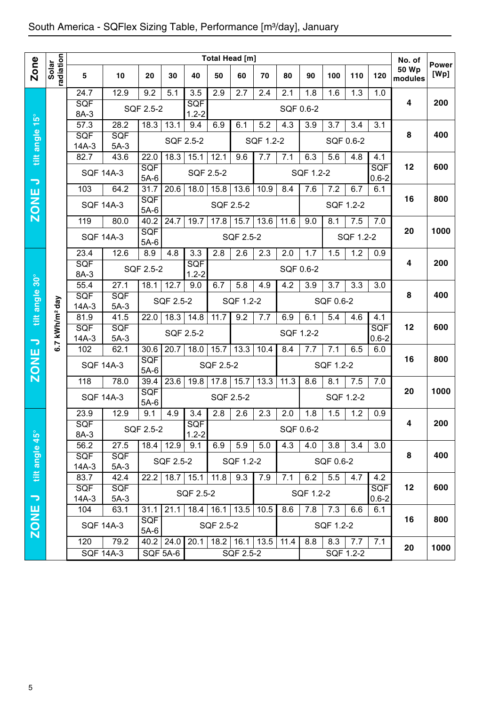|                          |                        | Total Head [m]        |                          |                        |                 |                   |             |                               |           |           |                  |           |                  | No. of           |                         |                      |
|--------------------------|------------------------|-----------------------|--------------------------|------------------------|-----------------|-------------------|-------------|-------------------------------|-----------|-----------|------------------|-----------|------------------|------------------|-------------------------|----------------------|
| <b>Zone</b>              | radiation<br>Solar     | 5                     | 10                       | 20                     | 30              | 40                | 50          | 60                            | 70        | 80        | 90               | 100       | 110              | 120              | <b>50 Wp</b><br>modules | <b>Power</b><br>[Wp] |
|                          |                        | 24.7                  | 12.9                     | 9.2                    | 5.1             | 3.5               | 2.9         | 2.7                           | 2.4       | 2.1       | $\overline{1.8}$ | 1.6       | $\overline{1.3}$ | 1.0              |                         |                      |
|                          |                        | <b>SQF</b><br>8A-3    |                          | SQF 2.5-2              |                 | SQF<br>$1.2 - 2$  |             |                               |           | SQF 0.6-2 |                  |           |                  |                  | 4                       | 200                  |
|                          |                        | $\overline{57.3}$     | 28.2                     | 18.3                   | 13.1            | 9.4               | 6.9         | 6.1                           | 5.2       | 4.3       | 3.9              | 3.7       | 3.4              | 3.1              |                         |                      |
| tilt angle 15°           |                        | <b>SQF</b><br>$14A-3$ | SQF<br>$5A-3$            |                        |                 | SQF 2.5-2         |             |                               | SQF 1.2-2 |           |                  |           | SQF 0.6-2        |                  | 8                       | 400                  |
|                          |                        | 82.7                  | 43.6                     | $\overline{22.0}$      | 18.3            | 15.1              | 12.1        | 9.6                           | 7.7       | 7.1       | 6.3              | 5.6       | 4.8              | 4.1              |                         |                      |
| $\overline{\phantom{0}}$ |                        | <b>SQF 14A-3</b>      |                          | <b>SQF</b><br>$5A-6$   |                 | SQF 2.5-2         |             |                               |           |           | SQF 1.2-2        |           |                  | SQF<br>$0.6 - 2$ | 12                      | 600                  |
|                          |                        | 103                   | 64.2                     | 31.7                   | 20.6            | 18.0              | 15.8        | 13.6                          | 10.9      | 8.4       | 7.6              | 7.2       | 6.7              | 6.1              |                         |                      |
| <b>ZONE</b>              |                        | <b>SQF 14A-3</b>      |                          | <b>SQF</b><br>$5A-6$   |                 |                   |             | SQF 2.5-2                     |           |           |                  |           | SQF 1.2-2        |                  | 16                      | 800                  |
|                          |                        | 119                   | 80.0                     | 40.2                   | 24.7            | 19.7              | 17.8        | 15.7                          | 13.6      | 11.6      | 9.0              | 8.1       | 7.5              | 7.0              |                         |                      |
|                          |                        | <b>SQF 14A-3</b>      |                          | SQF<br>$5A-6$          |                 |                   |             | SQF 2.5-2                     |           |           |                  |           | SQF 1.2-2        |                  | 20                      | 1000                 |
|                          |                        | 23.4                  | 12.6                     | 8.9                    | 4.8             | 3.3               | 2.8         | 2.6                           | 2.3       | 2.0       | 1.7              | 1.5       | 1.2              | 0.9              |                         |                      |
|                          |                        | SQF                   |                          | SQF 2.5-2              |                 | SQF               |             |                               |           | SQF 0.6-2 |                  |           |                  |                  | 4                       | 200                  |
|                          |                        | 8A-3<br>55.4          | 27.1                     | 18.1                   | 12.7            | $1.2 - 2$<br>9.0  | 6.7         | 5.8                           | 4.9       | 4.2       | 3.9              | 3.7       | 3.3              | 3.0              |                         |                      |
| tilt angle 30°           |                        | SQF                   | <b>SQF</b>               |                        | SQF 2.5-2       |                   |             | SQF 1.2-2                     |           |           |                  | SQF 0.6-2 |                  |                  | 8                       | 400                  |
|                          | kWh/m <sup>2</sup> day | $14A-3$               | $5A-3$                   |                        |                 |                   |             |                               |           |           |                  |           |                  |                  |                         |                      |
|                          |                        | 81.9<br>SQF           | 41.5<br>SQF              | 22.0                   | 18.3            | 14.8              | 11.7        | 9.2                           | 7.7       | 6.9       | 6.1              | 5.4       | 4.6              | 4.1<br>SQF       | 12                      | 600                  |
| $\overline{\phantom{a}}$ |                        | $14A-3$               | $5A-3$                   |                        |                 | SQF 2.5-2         |             |                               |           | SQF 1.2-2 |                  |           |                  | $0.6 - 2$        |                         |                      |
|                          | 6.7                    | 102                   | 62.1                     | 30.6                   | 20.7            | 18.0              | 15.7        | 13.3                          | 10.4      | 8.4       | 7.7              | 7.1       | 6.5              | 6.0              |                         | 800                  |
| <b>ZONE</b>              |                        | <b>SQF 14A-3</b>      |                          | SQF<br>$5A-6$          |                 |                   | SQF 2.5-2   |                               |           |           |                  | SQF 1.2-2 |                  |                  | 16                      |                      |
|                          |                        | 118                   | 78.0                     | 39.4                   | 23.6            | 19.8              | $17.8$ 15.7 |                               | 13.3      | 11.3      | 8.6              | 8.1       | 7.5              | 7.0              |                         |                      |
|                          |                        | <b>SQF 14A-3</b>      |                          | SQF<br>$5A-6$          |                 |                   |             | SQF 2.5-2                     |           |           |                  |           | SQF 1.2-2        |                  | 20                      | 1000                 |
|                          |                        | 23.9                  | 12.9                     | 9.1                    | 4.9             | 3.4               | 2.8         | 2.6                           | 2.3       | 2.0       | 1.8              | 1.5       | 1.2              | 0.9              |                         |                      |
|                          |                        | SQF<br>8A-3           |                          | SQF 2.5-2              |                 | SQF<br>$1.2 - 2$  |             |                               |           | SQF 0.6-2 |                  |           |                  |                  | 4                       | 200                  |
| $45^{\circ}$             |                        | 56.2                  | 27.5                     |                        | 18.4 12.9       | 9.1               | 6.9         | 5.9                           | 5.0       | 4.3       | 4.0              | 3.8       | 3.4              | 3.0              |                         |                      |
|                          |                        | <b>SQF</b>            | <b>SQF</b>               |                        | SQF 2.5-2       |                   |             | SQF 1.2-2                     |           |           |                  | SQF 0.6-2 |                  |                  | 8                       | 400                  |
| tilt angle               |                        | $14A-3$<br>83.7       | $5A-3$<br>42.4           | 22.2                   |                 | $18.7$ 15.1       | 11.8        | 9.3                           | 7.9       | 7.1       | 6.2              | 5.5       | 4.7              | 4.2              |                         |                      |
|                          |                        | <b>SQF</b>            | SQF                      |                        |                 | SQF 2.5-2         |             |                               |           |           | SQF 1.2-2        |           |                  | <b>SQF</b>       | 12                      | 600                  |
| $\rightarrow$            |                        | $14A-3$<br>104        | $5A-3$<br>63.1           | 31.1                   | 21.1            | $18.4$ 16.1       |             | 13.5                          | 10.5      | 8.6       | 7.8              | 7.3       | 6.6              | $0.6 - 2$<br>6.1 |                         |                      |
| ZONE                     |                        |                       |                          | <b>SQF</b>             |                 |                   |             |                               |           |           |                  |           |                  |                  | 16                      | 800                  |
|                          |                        | <b>SQF 14A-3</b>      |                          | $5A-6$                 |                 |                   | SQF 2.5-2   |                               |           |           |                  | SQF 1.2-2 |                  |                  |                         |                      |
|                          |                        | 120                   | 79.2<br><b>SQF 14A-3</b> | $\overline{40.2}$ 24.0 | <b>SQF 5A-6</b> | $\overline{20.1}$ |             | $18.2$ 16.1 13.5<br>SQF 2.5-2 |           | 11.4      | 8.8              | 8.3       | 7.7<br>SQF 1.2-2 | 7.1              | 20                      | 1000                 |
|                          |                        |                       |                          |                        |                 |                   |             |                               |           |           |                  |           |                  |                  |                         |                      |
|                          |                        |                       |                          |                        |                 |                   |             |                               |           |           |                  |           |                  |                  |                         |                      |
| 5                        |                        |                       |                          |                        |                 |                   |             |                               |           |           |                  |           |                  |                  |                         |                      |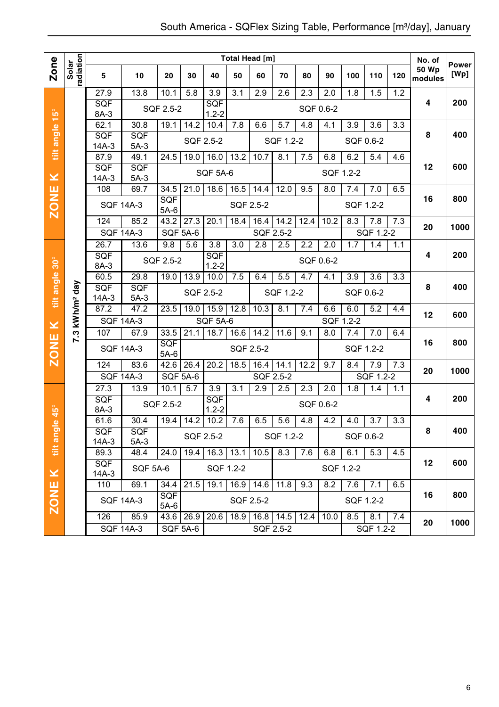|                         |                            |                          |                  |                        |                  |                  |                  | <b>Total Head [m]</b>                |           |                  |                  |     |                  |     | No. of                  |                      |
|-------------------------|----------------------------|--------------------------|------------------|------------------------|------------------|------------------|------------------|--------------------------------------|-----------|------------------|------------------|-----|------------------|-----|-------------------------|----------------------|
| Zone                    | radiation<br>Solar         | 5                        | 10               | 20                     | 30               | 40               | 50               | 60                                   | 70        | 80               | 90               | 100 | 110              | 120 | <b>50 Wp</b><br>modules | <b>Power</b><br>[Wp] |
|                         |                            | 27.9                     | 13.8             | 10.1                   | 5.8              | 3.9              | $\overline{3.1}$ | 2.9                                  | 2.6       | $\overline{2.3}$ | 2.0              | 1.8 | 1.5              | 1.2 |                         |                      |
|                         |                            | SQF<br>8A-3              |                  | SQF 2.5-2              |                  | SQF<br>$1.2 - 2$ |                  |                                      |           | SQF 0.6-2        |                  |     |                  |     | 4                       | 200                  |
| tilt angle 15°          |                            | 62.1                     | 30.8             | 19.1                   | 14.2             | 10.4             | 7.8              | 6.6                                  | 5.7       | 4.8              | 4.1              | 3.9 | 3.6              | 3.3 |                         |                      |
|                         |                            | SQF                      | SQF              |                        |                  | SQF 2.5-2        |                  |                                      |           |                  |                  |     | SQF 0.6-2        |     | 8                       | 400                  |
|                         |                            | $14A-3$                  | $5A-3$           |                        |                  |                  |                  |                                      | SQF 1.2-2 |                  |                  |     |                  |     |                         |                      |
|                         |                            | 87.9                     | 49.1             | 24.5                   | 19.0             | 16.0             | 13.2             | 10.7                                 | 8.1       | 7.5              | 6.8              | 6.2 | 5.4              | 4.6 |                         |                      |
| ×                       |                            | <b>SQF</b><br>$14A-3$    | SQF<br>$5A-3$    |                        |                  | <b>SQF 5A-6</b>  |                  |                                      |           |                  | SQF 1.2-2        |     |                  |     | 12                      | 600                  |
|                         |                            | 108                      | 69.7             | 34.5                   | 21.0             | 18.6             | 16.5             | 14.4                                 | 12.0      | 9.5              | 8.0              | 7.4 | 7.0              | 6.5 |                         |                      |
| <b>ZONE</b>             |                            |                          | <b>SQF 14A-3</b> | SQF                    |                  |                  | <b>SQF 2.5-2</b> |                                      |           |                  |                  |     | SQF 1.2-2        |     | 16                      | 800                  |
|                         |                            |                          |                  | $5A-6$                 |                  |                  |                  |                                      |           |                  |                  |     |                  |     |                         |                      |
|                         |                            | 124                      | 85.2             | 43.2                   | 27.3             | 20.1             | 18.4             | 16.4                                 | 14.2      | 12.4             | 10.2             | 8.3 | 7.8              | 7.3 | 20                      | 1000                 |
|                         |                            | <b>SQF 14A-3</b><br>26.7 | 13.6             | <b>SQF 5A-6</b><br>9.8 | 5.6              | $\overline{3.8}$ | 3.0              | <b>SQF 2.5-2</b><br>$\overline{2.8}$ | 2.5       | $\overline{2.2}$ | $\overline{2.0}$ | 1.7 | SQF 1.2-2<br>1.4 | 1.1 |                         |                      |
|                         |                            | <b>SQF</b>               |                  |                        |                  | SQF              |                  |                                      |           |                  |                  |     |                  |     | 4                       | 200                  |
| $30^\circ$              |                            | 8A-3                     |                  | SQF 2.5-2              |                  | $1.2 - 2$        |                  |                                      |           | SQF 0.6-2        |                  |     |                  |     |                         |                      |
|                         |                            | 60.5                     | 29.8             | 19.0                   | 13.9             | 10.0             | 7.5              | 6.4                                  | 5.5       | 4.7              | 4.1              | 3.9 | 3.6              | 3.3 |                         |                      |
| tilt angle              | 7.3 kWh/m <sup>2</sup> day | SQF<br>$14A-3$           | SQF<br>$5A-3$    |                        | <b>SQF 2.5-2</b> |                  |                  |                                      | SQF 1.2-2 |                  |                  |     | SQF 0.6-2        |     | 8                       | 400                  |
|                         |                            | 87.2                     | 47.2             | 23.5                   | 19.0             | 15.9             | 12.8             | 10.3                                 | 8.1       | 7.4              | 6.6              | 6.0 | 5.2              | 4.4 |                         |                      |
| $\geq$                  |                            | <b>SQF 14A-3</b>         |                  |                        |                  | <b>SQF 5A-6</b>  |                  |                                      |           |                  | SQF 1.2-2        |     |                  |     | 12                      | 600                  |
|                         |                            | 107                      | 67.9             | 33.5                   | 21.1             | 18.7             | 16.6             | 14.2                                 | 11.6      | 9.1              | 8.0              | 7.4 | 7.0              | 6.4 |                         |                      |
| <b>ZONE</b>             |                            |                          | <b>SQF 14A-3</b> | SQF                    |                  |                  | SQF 2.5-2        |                                      |           |                  |                  |     | SQF 1.2-2        |     | 16                      | 800                  |
|                         |                            | 124                      | 83.6             | $5A-6$<br>42.6         | 26.4             | 20.2             | 18.5             | 16.4                                 | 14.1      | 12.2             | 9.7              | 8.4 | 7.9              | 7.3 |                         |                      |
|                         |                            |                          | <b>SQF 14A-3</b> | <b>SQF 5A-6</b>        |                  |                  |                  | <b>SQF 2.5-2</b>                     |           |                  |                  |     | SQF 1.2-2        |     | 20                      | 1000                 |
|                         |                            | 27.3                     | 13.9             | 10.1                   | $\overline{5.7}$ | 3.9              | $\overline{3.1}$ | 2.9                                  | 2.5       | 2.3              | 2.0              | 1.8 | 1.4              | 1.1 |                         |                      |
|                         |                            | <b>SQF</b>               |                  | SQF 2.5-2              |                  | SQF              |                  |                                      |           | SQF 0.6-2        |                  |     |                  |     | 4                       | 200                  |
| $\overline{45}^{\circ}$ |                            | 8A-3                     |                  |                        |                  | $1.2 - 2$        |                  |                                      |           |                  |                  |     |                  |     |                         |                      |
| $\bullet$               |                            | 61.6                     | 30.4             | 19.4                   | 14.2             | 10.2             | 7.6              | 6.5                                  | 5.6       | 4.8              | 4.2              | 4.0 | 3.7              | 3.3 | 8                       | 400                  |
|                         |                            | <b>SQF</b><br>$14A-3$    | SQF<br>$5A-3$    |                        |                  | SQF 2.5-2        |                  |                                      | SQF 1.2-2 |                  |                  |     | SQF 0.6-2        |     |                         |                      |
| tilt angl               |                            | 89.3                     | 48.4             | 24.0                   | 19.4             | 16.3             | 13.1             | 10.5                                 | 8.3       | 7.6              | 6.8              | 6.1 | 5.3              | 4.5 |                         |                      |
|                         |                            | <b>SQF</b>               | <b>SQF 5A-6</b>  |                        |                  | SQF 1.2-2        |                  |                                      |           |                  | SQF 1.2-2        |     |                  |     | 12                      | 600                  |
| $\pmb{\times}$          |                            | 14A-3                    | 69.1             |                        |                  |                  |                  |                                      |           |                  |                  |     |                  |     |                         |                      |
|                         | 110                        |                          |                  | 34.4<br><b>SQF</b>     | 21.5             | 19.1             |                  | $\overline{16.9}$ 14.6               | 11.8      | 9.3              | 8.2              | 7.6 | 7.1              | 6.5 | 16                      | 800                  |
| <b>ZONE</b>             |                            |                          | <b>SQF 14A-3</b> | $5A-6$                 |                  |                  | SQF 2.5-2        |                                      |           |                  |                  |     | SQF 1.2-2        |     |                         |                      |
|                         |                            | 126                      | 85.9             | 43.6 26.9              |                  | 20.6             | 18.9             | 16.8                                 | 14.5      | 12.4             | 10.0             | 8.5 | 8.1              | 7.4 | 20                      | 1000                 |
|                         |                            |                          | <b>SQF 14A-3</b> |                        | <b>SQF 5A-6</b>  |                  |                  |                                      | SQF 2.5-2 |                  |                  |     | SQF 1.2-2        |     |                         |                      |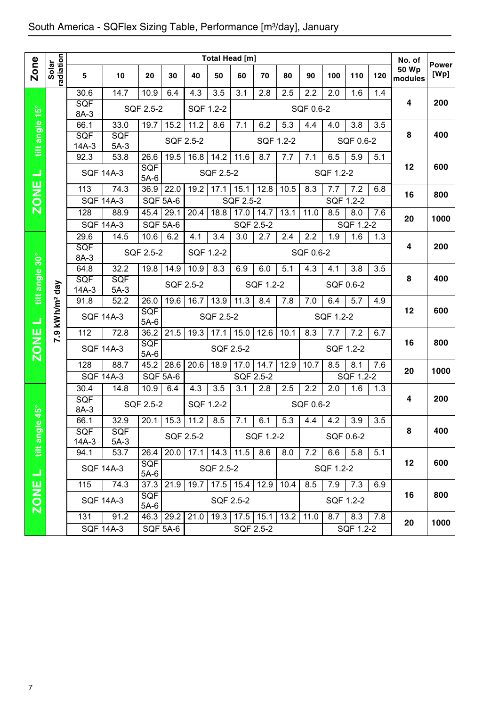|                          |                        |                    |                  |                      |           |                      |                   | Total Head [m]    |                  |      |                  |                  |           |     | No. of           |                      |
|--------------------------|------------------------|--------------------|------------------|----------------------|-----------|----------------------|-------------------|-------------------|------------------|------|------------------|------------------|-----------|-----|------------------|----------------------|
| <b>Zone</b>              | radiation<br>Solar     | 5                  | 10               | 20                   | 30        | 40                   | 50                | 60                | 70               | 80   | 90               | 100              | 110       | 120 | 50 Wp<br>modules | <b>Power</b><br>[Wp] |
|                          |                        | 30.6               | 14.7             | 10.9                 | 6.4       | 4.3                  | 3.5               | 3.1               | 2.8              | 2.5  | 2.2              | 2.0              | 1.6       | 1.4 |                  |                      |
|                          |                        | <b>SQF</b><br>8A-3 |                  | SQF 2.5-2            |           | SQF 1.2-2            |                   |                   |                  |      | SQF 0.6-2        |                  |           |     | 4                | 200                  |
| tilt angle 15°           |                        | 66.1               | 33.0             | 19.7                 | 15.2      | 11.2                 | 8.6               | 7.1               | 6.2              | 5.3  | 4.4              | 4.0              | 3.8       | 3.5 |                  |                      |
|                          |                        | <b>SQF</b>         | <b>SQF</b>       |                      | SQF 2.5-2 |                      |                   |                   | SQF 1.2-2        |      |                  |                  | SQF 0.6-2 |     | 8                | 400                  |
|                          |                        | $14A-3$            | $5A-3$           |                      |           |                      |                   |                   |                  |      |                  |                  |           |     |                  |                      |
|                          |                        | 92.3               | 53.8             | 26.6                 | 19.5      | 16.8                 | $14.\overline{2}$ | 11.6              | 8.7              | 7.7  | 7.1              | 6.5              | 5.9       | 5.1 | 12               | 600                  |
| ᆜ                        |                        |                    | <b>SQF 14A-3</b> | SQF<br>$5A-6$        |           |                      | SQF 2.5-2         |                   |                  |      |                  | SQF 1.2-2        |           |     |                  |                      |
| <b>ZONE</b>              |                        | 113                | 74.3             | 36.9                 | 22.0      | 19.2                 | 17.1              | 15.1              | 12.8             | 10.5 | 8.3              | 7.7              | 7.2       | 6.8 |                  | 800                  |
|                          |                        | <b>SQF 14A-3</b>   |                  | <b>SQF 5A-6</b>      |           |                      |                   | SQF 2.5-2         |                  |      |                  |                  | SQF 1.2-2 |     | 16               |                      |
|                          |                        | 128                | 88.9             | 45.4                 | 29.1      | 20.4                 | $\overline{18.8}$ | 17.0              | 14.7             | 13.1 | 11.0             | 8.5              | 8.0       | 7.6 | 20               | 1000                 |
|                          |                        |                    | <b>SQF 14A-3</b> | <b>SQF 5A-6</b>      |           |                      |                   | SQF 2.5-2         |                  |      |                  |                  | SQF 1.2-2 |     |                  |                      |
|                          |                        | 29.6               | 14.5             | 10.6                 | 6.2       | 4.1                  | 3.4               | $\overline{3.0}$  | $\overline{2.7}$ | 2.4  | $\overline{2.2}$ | $\overline{1.9}$ | 1.6       | 1.3 |                  |                      |
|                          |                        | SQF<br>8A-3        |                  | SQF 2.5-2            |           | SQF 1.2-2            |                   |                   |                  |      | SQF 0.6-2        |                  |           |     | 4                | 200                  |
|                          |                        | 64.8               | 32.2             | 19.8                 | 14.9      | 10.9                 | 8.3               | 6.9               | 6.0              | 5.1  | 4.3              | 4.1              | 3.8       | 3.5 |                  |                      |
| tilt angle 30°           |                        | SQF                | SQF              |                      | SQF 2.5-2 |                      |                   |                   | SQF 1.2-2        |      |                  |                  | SQF 0.6-2 |     | 8                | 400                  |
|                          |                        | $14A-3$            | $5A-3$           |                      |           |                      |                   |                   |                  |      |                  |                  |           |     |                  |                      |
|                          |                        | 91.8               | 52.2             | 26.0                 | 19.6      | 16.7                 | 13.9              | 11.3              | 8.4              | 7.8  | 7.0              | 6.4              | 5.7       | 4.9 |                  |                      |
| $\Box$                   | kWh/m <sup>2</sup> day | <b>SQF 14A-3</b>   |                  | SQF<br>$5A-6$        |           |                      | SQF 2.5-2         |                   |                  |      |                  | SQF 1.2-2        |           |     | 12               | 600                  |
|                          | 7.9                    | 112                | 72.8             | 36.2                 | 21.5      | 19.3                 | 17.1              | 15.0              | 12.6             | 10.1 | 8.3              | 7.7              | 7.2       | 6.7 |                  |                      |
| <b>ZONE</b>              |                        | <b>SQF 14A-3</b>   |                  | SQF<br>$5A-6$        |           |                      |                   | SQF 2.5-2         |                  |      |                  |                  | SQF 1.2-2 |     | 16               | 800                  |
|                          |                        | 128                | 88.7             | 45.2                 | 28.6      | 20.6                 | 18.9              | 17.0              | 14.7             | 12.9 | 10.7             | 8.5              | 8.1       | 7.6 | 20               | 1000                 |
|                          |                        | <b>SQF 14A-3</b>   |                  | <b>SQF 5A-6</b>      |           |                      |                   | SQF 2.5-2         |                  |      |                  |                  | SQF 1.2-2 |     |                  |                      |
|                          |                        | 30.4               | 14.8             | 10.9                 | 6.4       | 4.3                  | 3.5               | 3.1               | 2.8              | 2.5  | 2.2              | 2.0              | 1.6       | 1.3 |                  |                      |
|                          |                        | SQF<br>8A-3        |                  | SQF 2.5-2            |           | SQF 1.2-2            |                   |                   |                  |      | SQF 0.6-2        |                  |           |     | 4                | 200                  |
| $45^{\circ}$<br>$\phi$   |                        | 66.1               | 32.9             |                      |           | $20.1$ 15.3 11.2 8.5 |                   | 7.1               | 6.1              | 5.3  | 4.4              | 4.2              | 3.9       | 3.5 |                  |                      |
| tilt angl                |                        | <b>SQF</b>         | <b>SQF</b>       |                      |           | SQF 2.5-2            |                   |                   | SQF 1.2-2        |      |                  |                  | SQF 0.6-2 |     | 8                | 400                  |
|                          |                        | $14A-3$            | $5A-3$           |                      |           |                      |                   |                   |                  |      |                  |                  |           |     |                  |                      |
|                          |                        | 94.1               | 53.7             | 26.4                 |           | $20.0$ 17.1          | 14.3              | $11.\overline{5}$ | 8.6              | 8.0  | 7.2              | 6.6              | 5.8       | 5.1 | 12               | 600                  |
| $\overline{\phantom{0}}$ |                        |                    | <b>SQF 14A-3</b> | <b>SQF</b><br>$5A-6$ |           |                      | SQF 2.5-2         |                   |                  |      |                  | SQF 1.2-2        |           |     |                  |                      |
|                          |                        | 115                | 74.3             | 37.3                 | 21.9      | 19.7                 |                   | $17.5$   15.4     | 12.9             | 10.4 | 8.5              | 7.9              | 7.3       | 6.9 |                  |                      |
| <b>ZONE</b>              |                        |                    | <b>SQF 14A-3</b> | <b>SQF</b>           |           |                      |                   | SQF 2.5-2         |                  |      |                  |                  | SQF 1.2-2 |     | 16               | 800                  |
|                          |                        | 131                | 91.2             | $5A-6$<br>46.3       | 29.2      | 21.0                 | 19.3              | $17.5$ 15.1       |                  | 13.2 | 11.0             | 8.7              | 8.3       | 7.8 |                  |                      |
|                          |                        |                    | <b>SQF 14A-3</b> |                      | SQF 5A-6  |                      |                   | SQF 2.5-2         |                  |      |                  |                  | SQF 1.2-2 |     | 20               | 1000                 |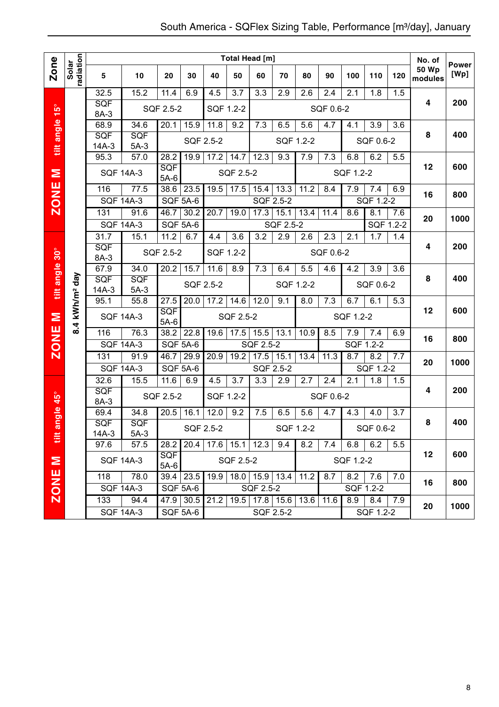|                |                    |                                                                           |                                                                   |                    |           |           |                  | <b>Total Head [m]</b>                         |                  |      |           |           |                  |     | No. of           | <b>Power</b> |
|----------------|--------------------|---------------------------------------------------------------------------|-------------------------------------------------------------------|--------------------|-----------|-----------|------------------|-----------------------------------------------|------------------|------|-----------|-----------|------------------|-----|------------------|--------------|
| Zone           | radiation<br>Solar | 5                                                                         | 10                                                                | 20                 | 30        | 40        | 50               | 60                                            | 70               | 80   | 90        | 100       | 110              | 120 | 50 Wp<br>modules | [Wp]         |
|                |                    | 32.5                                                                      | 15.2                                                              | 11.4               | 6.9       | 4.5       | $\overline{3.7}$ | 3.3                                           | 2.9              | 2.6  | 2.4       | 2.1       | 1.8              | 1.5 |                  |              |
| $15^{\circ}$   |                    | <b>SQF</b><br>8A-3                                                        |                                                                   | SQF 2.5-2          |           | SQF 1.2-2 |                  |                                               |                  |      | SQF 0.6-2 |           |                  |     | 4                | 200          |
|                |                    | 68.9                                                                      | 34.6                                                              | 20.1               | 15.9      | 11.8      | 9.2              | 7.3                                           | 6.5              | 5.6  | 4.7       | 4.1       | 3.9              | 3.6 |                  |              |
| tilt angle     |                    | SQF                                                                       | SQF                                                               |                    | SQF 2.5-2 |           |                  |                                               | SQF 1.2-2        |      |           |           | SQF 0.6-2        |     | 8                | 400          |
|                |                    | $14A-3$                                                                   | $5A-3$                                                            |                    |           |           |                  |                                               |                  |      |           |           |                  |     |                  |              |
|                |                    | 95.3                                                                      | 57.0                                                              | 28.2               | 19.9      | 17.2      | 14.7             | 12.3                                          | 9.3              | 7.9  | 7.3       | 6.8       | 6.2              | 5.5 | 12               | 600          |
| Σ              |                    |                                                                           | <b>SQF 14A-3</b>                                                  | SQF<br>$5A-6$      |           |           | SQF 2.5-2        |                                               |                  |      |           | SQF 1.2-2 |                  |     |                  |              |
| <b>ZONE</b>    |                    | 116                                                                       | 77.5                                                              | 38.6               | 23.5      | 19.5      | 17.5             | 15.4                                          | 13.3             | 11.2 | 8.4       | 7.9       | 7.4              | 6.9 | 16               | 800          |
|                |                    |                                                                           | <b>SQF 14A-3</b>                                                  | SQF 5A-6           |           |           |                  | SQF 2.5-2                                     |                  |      |           |           | SQF 1.2-2        |     |                  |              |
|                |                    | 131                                                                       | 91.6                                                              | 46.7               | 30.2      | 20.7      | 19.0             | 17.3                                          | 15.1             | 13.4 | 11.4      | 8.6       | 8.1              | 7.6 | 20               | 1000         |
|                |                    |                                                                           | <b>SQF 14A-3</b>                                                  | SQF 5A-6           |           |           |                  |                                               | <b>SQF 2.5-2</b> |      |           |           | SQF 1.2-2        |     |                  |              |
|                |                    | 31.7                                                                      | 15.1                                                              | 11.2               | 6.7       | 4.4       | 3.6              | 3.2                                           | 2.9              | 2.6  | 2.3       | 2.1       | 1.7              | 1.4 | 4                | 200          |
| tilt angle 30° |                    | SQF<br>8A-3                                                               |                                                                   | SQF 2.5-2          |           | SQF 1.2-2 |                  |                                               |                  |      | SQF 0.6-2 |           |                  |     |                  |              |
|                |                    | 67.9<br>34.0<br>kWh/m <sup>2</sup> day<br>SQF<br>SQF<br>$14A-3$<br>$5A-3$ |                                                                   |                    | 15.7      | 11.6      | 8.9              | 7.3                                           | 6.4              | 5.5  | 4.6       | 4.2       | 3.9              | 3.6 |                  |              |
|                |                    |                                                                           |                                                                   |                    | SQF 2.5-2 |           |                  |                                               | SQF 1.2-2        |      |           |           | SQF 0.6-2        |     | 8                | 400          |
|                |                    |                                                                           |                                                                   |                    |           |           |                  |                                               |                  |      |           |           |                  |     |                  |              |
|                |                    | 95.1                                                                      | 55.8                                                              | 27.5<br><b>SQF</b> | 20.0      | 17.2      | 14.6             | 12.0                                          | 9.1              | 8.0  | 7.3       | 6.7       | 6.1              | 5.3 | 12               | 600          |
| Σ              | 8.4                |                                                                           | <b>SQF 14A-3</b>                                                  | $5A-6$             |           |           | SQF 2.5-2        |                                               |                  |      |           | SQF 1.2-2 |                  |     |                  |              |
|                |                    | 116                                                                       | 76.3                                                              | 38.2               | 22.8      | 19.6      | 17.5             | 15.5                                          | 13.1             | 10.9 | 8.5       | 7.9       | 7.4              | 6.9 | 16               | 800          |
| <b>ZONE</b>    |                    |                                                                           | <b>SQF 14A-3</b>                                                  | <b>SQF 5A-6</b>    |           |           |                  | <b>SQF 2.5-2</b>                              |                  |      |           | SQF 1.2-2 |                  |     |                  |              |
|                |                    | 131                                                                       | 91.9                                                              | 46.7               | 29.9      | 20.9      | 19.2             | 17.5                                          | 15.1             | 13.4 | 11.3      | 8.7       | 8.2              | 7.7 | 20               | 1000         |
|                |                    |                                                                           | <b>SQF 14A-3</b>                                                  | <b>SQF 5A-6</b>    |           |           |                  | SQF 2.5-2                                     |                  |      |           |           | SQF 1.2-2        |     |                  |              |
|                |                    | 32.6<br>SQF                                                               | 15.5                                                              | 11.6               | 6.9       | 4.5       | 3.7              | 3.3                                           | 2.9              | 2.7  | 2.4       | 2.1       | 1.8              | 1.5 | 4                | 200          |
| ngle 45°       |                    | 8A-3                                                                      |                                                                   | SQF 2.5-2          |           | SQF 1.2-2 |                  |                                               |                  |      | SQF 0.6-2 |           |                  |     |                  |              |
|                |                    | 69.4                                                                      | 34.8                                                              | 20.5               | 16.1      | 12.0      | 9.2              | 7.5                                           | 6.5              | 5.6  | 4.7       | 4.3       | 4.0              | 3.7 |                  |              |
| æ              |                    | <b>SQF</b>                                                                | <b>SQF</b><br>SQF 2.5-2                                           |                    |           |           |                  |                                               | SQF 1.2-2        |      |           |           | SQF 0.6-2        |     | 8                | 400          |
| ät             |                    | 14A-3<br>$5A-3$<br>97.6<br>57.5<br>28.2                                   |                                                                   |                    |           |           |                  | $20.4$   17.6   15.1   12.3                   | 9.4              | 8.2  | 7.4       | 6.8       | 6.2              | 5.5 |                  |              |
|                |                    |                                                                           | <b>SQF 14A-3</b>                                                  | <b>SQF</b>         |           |           | SQF 2.5-2        |                                               |                  |      |           | SQF 1.2-2 |                  |     | 12               | 600          |
|                |                    |                                                                           |                                                                   |                    |           |           |                  |                                               |                  |      |           |           |                  |     |                  |              |
| <b>N 3NOZ</b>  |                    | 118<br>78.0<br>$39.4$ 23.5                                                |                                                                   |                    |           |           |                  | 19.9 18.0 15.9 13.4                           |                  | 11.2 | 8.7       | 8.2       | 7.6              | 7.0 | 16               | 800          |
|                |                    |                                                                           | <b>SQF 14A-3</b><br><b>SQF 5A-6</b><br>133<br>94.4<br>$47.9$ 30.5 |                    |           |           |                  | SQF 2.5-2                                     |                  |      |           | 8.9       | SQF 1.2-2        |     |                  |              |
|                |                    |                                                                           |                                                                   |                    |           |           |                  | 21.2   19.5   17.8   15.6   13.6<br>SQF 2.5-2 |                  |      | 11.6      |           | 8.4<br>SQF 1.2-2 | 7.9 | 20               | 1000         |
|                |                    |                                                                           | <b>SQF 14A-3</b><br>SQF 5A-6                                      |                    |           |           |                  |                                               |                  |      |           |           |                  |     |                  |              |